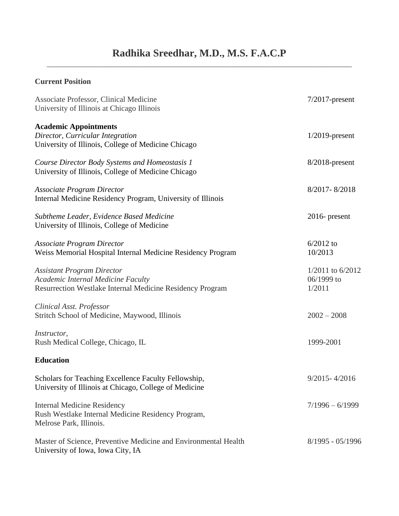## **Current Position**

| Associate Professor, Clinical Medicine<br>University of Illinois at Chicago Illinois                                                        | $7/2017$ -present                          |
|---------------------------------------------------------------------------------------------------------------------------------------------|--------------------------------------------|
| <b>Academic Appointments</b><br>Director, Curricular Integration<br>University of Illinois, College of Medicine Chicago                     | $1/2019$ -present                          |
| Course Director Body Systems and Homeostasis 1<br>University of Illinois, College of Medicine Chicago                                       | $8/2018$ -present                          |
| <b>Associate Program Director</b><br>Internal Medicine Residency Program, University of Illinois                                            | 8/2017-8/2018                              |
| Subtheme Leader, Evidence Based Medicine<br>University of Illinois, College of Medicine                                                     | $2016$ - present                           |
| <b>Associate Program Director</b><br>Weiss Memorial Hospital Internal Medicine Residency Program                                            | $6/2012$ to<br>10/2013                     |
| <b>Assistant Program Director</b><br>Academic Internal Medicine Faculty<br><b>Resurrection Westlake Internal Medicine Residency Program</b> | $1/2011$ to 6/2012<br>06/1999 to<br>1/2011 |
| Clinical Asst. Professor<br>Stritch School of Medicine, Maywood, Illinois                                                                   | $2002 - 2008$                              |
| Instructor,<br>Rush Medical College, Chicago, IL                                                                                            | 1999-2001                                  |
| <b>Education</b>                                                                                                                            |                                            |
| Scholars for Teaching Excellence Faculty Fellowship,<br>University of Illinois at Chicago, College of Medicine                              | $9/2015 - 4/2016$                          |
| <b>Internal Medicine Residency</b><br>Rush Westlake Internal Medicine Residency Program,<br>Melrose Park, Illinois.                         | $7/1996 - 6/1999$                          |
| Master of Science, Preventive Medicine and Environmental Health<br>University of Iowa, Iowa City, IA                                        | $8/1995 - 05/1996$                         |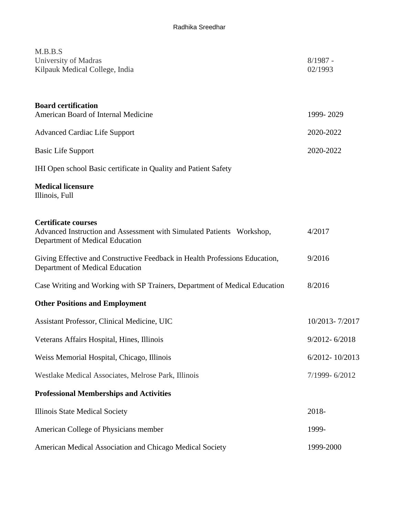| M.B.B.S<br>University of Madras<br>Kilpauk Medical College, India                                                                      | $8/1987 -$<br>02/1993 |
|----------------------------------------------------------------------------------------------------------------------------------------|-----------------------|
| <b>Board certification</b><br>American Board of Internal Medicine                                                                      | 1999-2029             |
| <b>Advanced Cardiac Life Support</b>                                                                                                   | 2020-2022             |
| <b>Basic Life Support</b>                                                                                                              | 2020-2022             |
| IHI Open school Basic certificate in Quality and Patient Safety                                                                        |                       |
| <b>Medical licensure</b><br>Illinois, Full                                                                                             |                       |
| <b>Certificate courses</b><br>Advanced Instruction and Assessment with Simulated Patients Workshop,<br>Department of Medical Education | 4/2017                |
| Giving Effective and Constructive Feedback in Health Professions Education,<br>Department of Medical Education                         | 9/2016                |
| Case Writing and Working with SP Trainers, Department of Medical Education                                                             | 8/2016                |
| <b>Other Positions and Employment</b>                                                                                                  |                       |
| Assistant Professor, Clinical Medicine, UIC                                                                                            | 10/2013-7/2017        |
| Veterans Affairs Hospital, Hines, Illinois                                                                                             | $9/2012 - 6/2018$     |
| Weiss Memorial Hospital, Chicago, Illinois                                                                                             | 6/2012-10/2013        |
| Westlake Medical Associates, Melrose Park, Illinois                                                                                    | 7/1999-6/2012         |
| <b>Professional Memberships and Activities</b>                                                                                         |                       |
| Illinois State Medical Society                                                                                                         | 2018-                 |
| American College of Physicians member                                                                                                  | 1999-                 |
| American Medical Association and Chicago Medical Society                                                                               | 1999-2000             |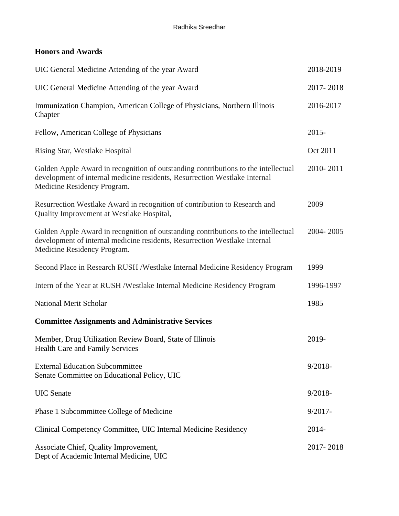## **Honors and Awards**

| UIC General Medicine Attending of the year Award                                                                                                                                                | 2018-2019  |
|-------------------------------------------------------------------------------------------------------------------------------------------------------------------------------------------------|------------|
| UIC General Medicine Attending of the year Award                                                                                                                                                | 2017-2018  |
| Immunization Champion, American College of Physicians, Northern Illinois<br>Chapter                                                                                                             | 2016-2017  |
| Fellow, American College of Physicians                                                                                                                                                          | $2015 -$   |
| Rising Star, Westlake Hospital                                                                                                                                                                  | Oct 2011   |
| Golden Apple Award in recognition of outstanding contributions to the intellectual<br>development of internal medicine residents, Resurrection Westlake Internal<br>Medicine Residency Program. | 2010-2011  |
| Resurrection Westlake Award in recognition of contribution to Research and<br>Quality Improvement at Westlake Hospital,                                                                         | 2009       |
| Golden Apple Award in recognition of outstanding contributions to the intellectual<br>development of internal medicine residents, Resurrection Westlake Internal<br>Medicine Residency Program. | 2004-2005  |
| Second Place in Research RUSH / Westlake Internal Medicine Residency Program                                                                                                                    | 1999       |
| Intern of the Year at RUSH / Westlake Internal Medicine Residency Program                                                                                                                       | 1996-1997  |
| National Merit Scholar                                                                                                                                                                          | 1985       |
| <b>Committee Assignments and Administrative Services</b>                                                                                                                                        |            |
| Member, Drug Utilization Review Board, State of Illinois<br>Health Care and Family Services                                                                                                     | 2019-      |
| <b>External Education Subcommittee</b><br>Senate Committee on Educational Policy, UIC                                                                                                           | $9/2018 -$ |
| <b>UIC</b> Senate                                                                                                                                                                               | $9/2018 -$ |
| Phase 1 Subcommittee College of Medicine                                                                                                                                                        | $9/2017 -$ |
| Clinical Competency Committee, UIC Internal Medicine Residency                                                                                                                                  | 2014-      |
| Associate Chief, Quality Improvement,<br>Dept of Academic Internal Medicine, UIC                                                                                                                | 2017-2018  |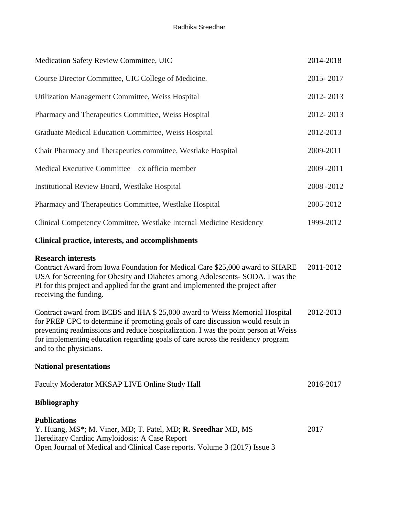| Medication Safety Review Committee, UIC                                                                                                                                                                                                                                                                                                                            | 2014-2018 |
|--------------------------------------------------------------------------------------------------------------------------------------------------------------------------------------------------------------------------------------------------------------------------------------------------------------------------------------------------------------------|-----------|
| Course Director Committee, UIC College of Medicine.                                                                                                                                                                                                                                                                                                                | 2015-2017 |
| Utilization Management Committee, Weiss Hospital                                                                                                                                                                                                                                                                                                                   | 2012-2013 |
| Pharmacy and Therapeutics Committee, Weiss Hospital                                                                                                                                                                                                                                                                                                                | 2012-2013 |
| Graduate Medical Education Committee, Weiss Hospital                                                                                                                                                                                                                                                                                                               | 2012-2013 |
| Chair Pharmacy and Therapeutics committee, Westlake Hospital                                                                                                                                                                                                                                                                                                       | 2009-2011 |
| Medical Executive Committee – ex officio member                                                                                                                                                                                                                                                                                                                    | 2009-2011 |
| <b>Institutional Review Board, Westlake Hospital</b>                                                                                                                                                                                                                                                                                                               | 2008-2012 |
| Pharmacy and Therapeutics Committee, Westlake Hospital                                                                                                                                                                                                                                                                                                             | 2005-2012 |
| Clinical Competency Committee, Westlake Internal Medicine Residency                                                                                                                                                                                                                                                                                                | 1999-2012 |
| <b>Clinical practice, interests, and accomplishments</b>                                                                                                                                                                                                                                                                                                           |           |
| <b>Research interests</b><br>Contract Award from Iowa Foundation for Medical Care \$25,000 award to SHARE<br>USA for Screening for Obesity and Diabetes among Adolescents- SODA. I was the<br>PI for this project and applied for the grant and implemented the project after<br>receiving the funding.                                                            | 2011-2012 |
| Contract award from BCBS and IHA \$ 25,000 award to Weiss Memorial Hospital<br>for PREP CPC to determine if promoting goals of care discussion would result in<br>preventing readmissions and reduce hospitalization. I was the point person at Weiss<br>for implementing education regarding goals of care across the residency program<br>and to the physicians. | 2012-2013 |
| <b>National presentations</b>                                                                                                                                                                                                                                                                                                                                      |           |
| Faculty Moderator MKSAP LIVE Online Study Hall                                                                                                                                                                                                                                                                                                                     | 2016-2017 |
| <b>Bibliography</b>                                                                                                                                                                                                                                                                                                                                                |           |
| <b>Publications</b><br>Y. Huang, MS <sup>*</sup> ; M. Viner, MD; T. Patel, MD; <b>R. Sreedhar</b> MD, MS<br>Hereditary Cardiac Amyloidosis: A Case Report<br>Open Journal of Medical and Clinical Case reports. Volume 3 (2017) Issue 3                                                                                                                            | 2017      |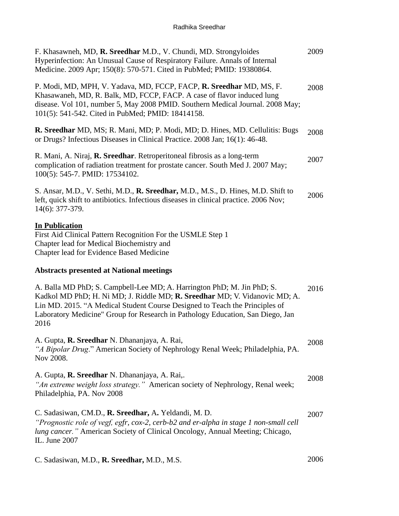| F. Khasawneh, MD, R. Sreedhar M.D., V. Chundi, MD. Strongyloides<br>Hyperinfection: An Unusual Cause of Respiratory Failure. Annals of Internal<br>Medicine. 2009 Apr; 150(8): 570-571. Cited in PubMed; PMID: 19380864.                                                                                                      | 2009 |
|-------------------------------------------------------------------------------------------------------------------------------------------------------------------------------------------------------------------------------------------------------------------------------------------------------------------------------|------|
| P. Modi, MD, MPH, V. Yadava, MD, FCCP, FACP, R. Sreedhar MD, MS, F.<br>Khasawaneh, MD, R. Balk, MD, FCCP, FACP. A case of flavor induced lung<br>disease. Vol 101, number 5, May 2008 PMID. Southern Medical Journal. 2008 May;<br>101(5): 541-542. Cited in PubMed; PMID: 18414158.                                          | 2008 |
| R. Sreedhar MD, MS; R. Mani, MD; P. Modi, MD; D. Hines, MD. Cellulitis: Bugs<br>or Drugs? Infectious Diseases in Clinical Practice. 2008 Jan; 16(1): 46-48.                                                                                                                                                                   | 2008 |
| R. Mani, A. Niraj, R. Sreedhar. Retroperitoneal fibrosis as a long-term<br>complication of radiation treatment for prostate cancer. South Med J. 2007 May;<br>100(5): 545-7. PMID: 17534102.                                                                                                                                  | 2007 |
| S. Ansar, M.D., V. Sethi, M.D., R. Sreedhar, M.D., M.S., D. Hines, M.D. Shift to<br>left, quick shift to antibiotics. Infectious diseases in clinical practice. 2006 Nov;<br>14(6): 377-379.                                                                                                                                  | 2006 |
| <b>In Publication</b><br>First Aid Clinical Pattern Recognition For the USMLE Step 1<br>Chapter lead for Medical Biochemistry and<br>Chapter lead for Evidence Based Medicine                                                                                                                                                 |      |
| <b>Abstracts presented at National meetings</b>                                                                                                                                                                                                                                                                               |      |
| A. Balla MD PhD; S. Campbell-Lee MD; A. Harrington PhD; M. Jin PhD; S.<br>Kadkol MD PhD; H. Ni MD; J. Riddle MD; R. Sreedhar MD; V. Vidanovic MD; A.<br>Lin MD. 2015. "A Medical Student Course Designed to Teach the Principles of<br>Laboratory Medicine" Group for Research in Pathology Education, San Diego, Jan<br>2016 | 2016 |
| A. Gupta, R. Sreedhar N. Dhananjaya, A. Rai,<br>"A Bipolar Drug." American Society of Nephrology Renal Week; Philadelphia, PA.<br>Nov 2008.                                                                                                                                                                                   | 2008 |
| A. Gupta, <b>R. Sreedhar</b> N. Dhananjaya, A. Rai,.<br>"An extreme weight loss strategy." American society of Nephrology, Renal week;<br>Philadelphia, PA. Nov 2008                                                                                                                                                          | 2008 |
| C. Sadasiwan, CM.D., R. Sreedhar, A. Yeldandi, M. D.<br>"Prognostic role of vegf, egfr, cox-2, cerb-b2 and er-alpha in stage 1 non-small cell<br>lung cancer." American Society of Clinical Oncology, Annual Meeting; Chicago,<br>IL. June 2007                                                                               | 2007 |
| C. Sadasiwan, M.D., R. Sreedhar, M.D., M.S.                                                                                                                                                                                                                                                                                   | 2006 |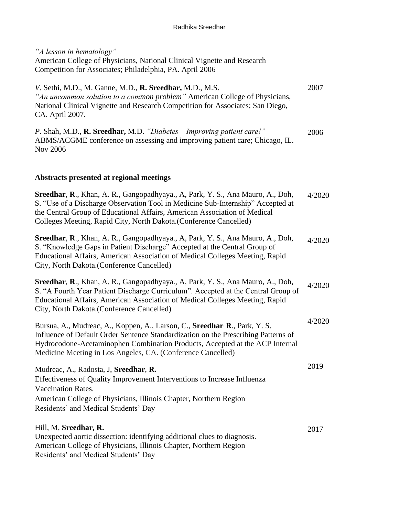*"A lesson in hematology"* American College of Physicians, National Clinical Vignette and Research Competition for Associates; Philadelphia, PA. April 2006

*V.* Sethi, M.D., M. Ganne, M.D., **R. Sreedhar,** M.D., M.S. *"An uncommon solution to a common problem"* American College of Physicians, National Clinical Vignette and Research Competition for Associates; San Diego, CA. April 2007. *P.* Shah, M.D., **R. Sreedhar,** M.D. *"Diabetes – Improving patient care!"*  ABMS/ACGME conference on assessing and improving patient care; Chicago, IL. Nov 2006 2007 2006

## **Abstracts presented at regional meetings**

| Sreedhar, R., Khan, A. R., Gangopadhyaya., A, Park, Y. S., Ana Mauro, A., Doh,<br>S. "Use of a Discharge Observation Tool in Medicine Sub-Internship" Accepted at<br>the Central Group of Educational Affairs, American Association of Medical<br>Colleges Meeting, Rapid City, North Dakota.(Conference Cancelled)         | 4/2020 |
|-----------------------------------------------------------------------------------------------------------------------------------------------------------------------------------------------------------------------------------------------------------------------------------------------------------------------------|--------|
| Sreedhar, R., Khan, A. R., Gangopadhyaya., A, Park, Y. S., Ana Mauro, A., Doh,<br>S. "Knowledge Gaps in Patient Discharge" Accepted at the Central Group of<br>Educational Affairs, American Association of Medical Colleges Meeting, Rapid<br>City, North Dakota. (Conference Cancelled)                                   | 4/2020 |
| Sreedhar, R., Khan, A. R., Gangopadhyaya., A, Park, Y. S., Ana Mauro, A., Doh,<br>S. "A Fourth Year Patient Discharge Curriculum". Accepted at the Central Group of<br>Educational Affairs, American Association of Medical Colleges Meeting, Rapid<br>City, North Dakota.(Conference Cancelled)                            | 4/2020 |
| Bursua, A., Mudreac, A., Koppen, A., Larson, C., Sreedhar <sup>,</sup> R., Park, Y. S.<br>Influence of Default Order Sentence Standardization on the Prescribing Patterns of<br>Hydrocodone-Acetaminophen Combination Products, Accepted at the ACP Internal<br>Medicine Meeting in Los Angeles, CA. (Conference Cancelled) | 4/2020 |
| Mudreac, A., Radosta, J. Sreedhar, R.<br>Effectiveness of Quality Improvement Interventions to Increase Influenza<br>Vaccination Rates.<br>American College of Physicians, Illinois Chapter, Northern Region<br>Residents' and Medical Students' Day                                                                        | 2019   |
| Hill, M, Sreedhar, R.<br>Unexpected aortic dissection: identifying additional clues to diagnosis.<br>American College of Physicians, Illinois Chapter, Northern Region<br>Residents' and Medical Students' Day                                                                                                              | 2017   |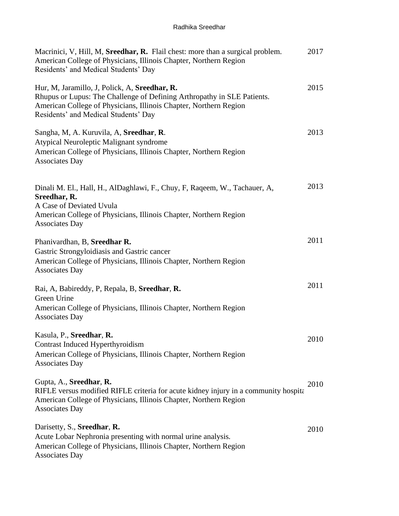| Macrinici, V, Hill, M, Sreedhar, R. Flail chest: more than a surgical problem.<br>American College of Physicians, Illinois Chapter, Northern Region<br>Residents' and Medical Students' Day                                           | 2017 |
|---------------------------------------------------------------------------------------------------------------------------------------------------------------------------------------------------------------------------------------|------|
| Hur, M, Jaramillo, J, Polick, A, Sreedhar, R.<br>Rhupus or Lupus: The Challenge of Defining Arthropathy in SLE Patients.<br>American College of Physicians, Illinois Chapter, Northern Region<br>Residents' and Medical Students' Day | 2015 |
| Sangha, M, A. Kuruvila, A, Sreedhar, R.<br>Atypical Neuroleptic Malignant syndrome<br>American College of Physicians, Illinois Chapter, Northern Region<br><b>Associates Day</b>                                                      | 2013 |
| Dinali M. El., Hall, H., AlDaghlawi, F., Chuy, F., Raqeem, W., Tachauer, A.<br>Sreedhar, R.<br>A Case of Deviated Uvula<br>American College of Physicians, Illinois Chapter, Northern Region<br><b>Associates Day</b>                 | 2013 |
| Phanivardhan, B, Sreedhar R.<br>Gastric Strongyloidiasis and Gastric cancer<br>American College of Physicians, Illinois Chapter, Northern Region<br><b>Associates Day</b>                                                             | 2011 |
| Rai, A, Babireddy, P, Repala, B, Sreedhar, R.<br>Green Urine<br>American College of Physicians, Illinois Chapter, Northern Region<br><b>Associates Day</b>                                                                            | 2011 |
| Kasula, P., Sreedhar, R.<br>Contrast Induced Hyperthyroidism<br>American College of Physicians, Illinois Chapter, Northern Region<br><b>Associates Day</b>                                                                            | 2010 |
| Gupta, A., Sreedhar, R.<br>RIFLE versus modified RIFLE criteria for acute kidney injury in a community hospita<br>American College of Physicians, Illinois Chapter, Northern Region<br><b>Associates Day</b>                          | 2010 |
| Darisetty, S., Sreedhar, R.<br>Acute Lobar Nephronia presenting with normal urine analysis.<br>American College of Physicians, Illinois Chapter, Northern Region<br><b>Associates Day</b>                                             | 2010 |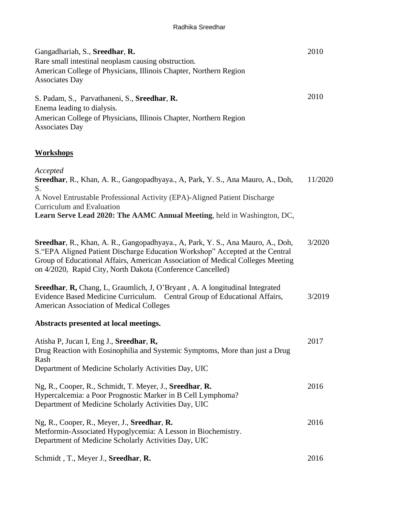| Gangadhariah, S., Sreedhar, R.<br>Rare small intestinal neoplasm causing obstruction.<br>American College of Physicians, Illinois Chapter, Northern Region<br><b>Associates Day</b>                                                                                                                             | 2010    |
|-----------------------------------------------------------------------------------------------------------------------------------------------------------------------------------------------------------------------------------------------------------------------------------------------------------------|---------|
| S. Padam, S., Parvathaneni, S., Sreedhar, R.<br>Enema leading to dialysis.<br>American College of Physicians, Illinois Chapter, Northern Region<br><b>Associates Day</b>                                                                                                                                        | 2010    |
| <b>Workshops</b>                                                                                                                                                                                                                                                                                                |         |
| Accepted<br>Sreedhar, R., Khan, A. R., Gangopadhyaya., A, Park, Y. S., Ana Mauro, A., Doh,<br>S.<br>A Novel Entrustable Professional Activity (EPA)-Aligned Patient Discharge<br>Curriculum and Evaluation<br>Learn Serve Lead 2020: The AAMC Annual Meeting, held in Washington, DC,                           | 11/2020 |
| Sreedhar, R., Khan, A. R., Gangopadhyaya., A, Park, Y. S., Ana Mauro, A., Doh,<br>S. "EPA Aligned Patient Discharge Education Workshop" Accepted at the Central<br>Group of Educational Affairs, American Association of Medical Colleges Meeting<br>on 4/2020, Rapid City, North Dakota (Conference Cancelled) | 3/2020  |
| <b>Sreedhar, R, Chang, L, Graumlich, J, O'Bryant, A. A longitudinal Integrated</b><br>Evidence Based Medicine Curriculum. Central Group of Educational Affairs,<br><b>American Association of Medical Colleges</b>                                                                                              | 3/2019  |
| Abstracts presented at local meetings.                                                                                                                                                                                                                                                                          |         |
| Atisha P, Jucan I, Eng J., Sreedhar, R,<br>Drug Reaction with Eosinophilia and Systemic Symptoms, More than just a Drug<br>Rash<br>Department of Medicine Scholarly Activities Day, UIC                                                                                                                         | 2017    |
| Ng, R., Cooper, R., Schmidt, T. Meyer, J., Sreedhar, R.<br>Hypercalcemia: a Poor Prognostic Marker in B Cell Lymphoma?<br>Department of Medicine Scholarly Activities Day, UIC                                                                                                                                  | 2016    |
| Ng, R., Cooper, R., Meyer, J., Sreedhar, R.<br>Metformin-Associated Hypoglycemia: A Lesson in Biochemistry.<br>Department of Medicine Scholarly Activities Day, UIC                                                                                                                                             | 2016    |
| Schmidt, T., Meyer J., Sreedhar, R.                                                                                                                                                                                                                                                                             | 2016    |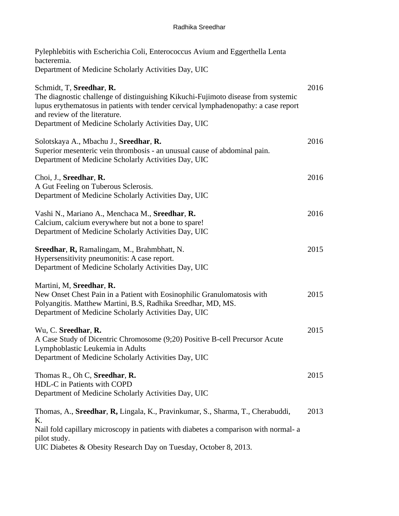| Pylephlebitis with Escherichia Coli, Enterococcus Avium and Eggerthella Lenta<br>bacteremia.                                                                                                                                                                                                  |      |
|-----------------------------------------------------------------------------------------------------------------------------------------------------------------------------------------------------------------------------------------------------------------------------------------------|------|
| Department of Medicine Scholarly Activities Day, UIC                                                                                                                                                                                                                                          |      |
| Schmidt, T, Sreedhar, R.<br>The diagnostic challenge of distinguishing Kikuchi-Fujimoto disease from systemic<br>lupus erythematosus in patients with tender cervical lymphadenopathy: a case report<br>and review of the literature.<br>Department of Medicine Scholarly Activities Day, UIC | 2016 |
| Solotskaya A., Mbachu J., Sreedhar, R.<br>Superior mesenteric vein thrombosis - an unusual cause of abdominal pain.<br>Department of Medicine Scholarly Activities Day, UIC                                                                                                                   | 2016 |
| Choi, J., Sreedhar, R.<br>A Gut Feeling on Tuberous Sclerosis.<br>Department of Medicine Scholarly Activities Day, UIC                                                                                                                                                                        | 2016 |
| Vashi N., Mariano A., Menchaca M., Sreedhar, R.<br>Calcium, calcium everywhere but not a bone to spare!<br>Department of Medicine Scholarly Activities Day, UIC                                                                                                                               | 2016 |
| Sreedhar, R, Ramalingam, M., Brahmbhatt, N.<br>Hypersensitivity pneumonitis: A case report.<br>Department of Medicine Scholarly Activities Day, UIC                                                                                                                                           | 2015 |
| Martini, M, Sreedhar, R.<br>New Onset Chest Pain in a Patient with Eosinophilic Granulomatosis with<br>Polyangitis. Matthew Martini, B.S, Radhika Sreedhar, MD, MS.<br>Department of Medicine Scholarly Activities Day, UIC                                                                   | 2015 |
| Wu, C. Sreedhar, R.<br>A Case Study of Dicentric Chromosome (9;20) Positive B-cell Precursor Acute<br>Lymphoblastic Leukemia in Adults<br>Department of Medicine Scholarly Activities Day, UIC                                                                                                | 2015 |
| Thomas R., Oh C, Sreedhar, R.<br>HDL-C in Patients with COPD<br>Department of Medicine Scholarly Activities Day, UIC                                                                                                                                                                          | 2015 |
| Thomas, A., Sreedhar, R, Lingala, K., Pravinkumar, S., Sharma, T., Cherabuddi,<br>Κ.<br>Nail fold capillary microscopy in patients with diabetes a comparison with normal- a<br>pilot study.<br>UIC Diabetes & Obesity Research Day on Tuesday, October 8, 2013.                              | 2013 |